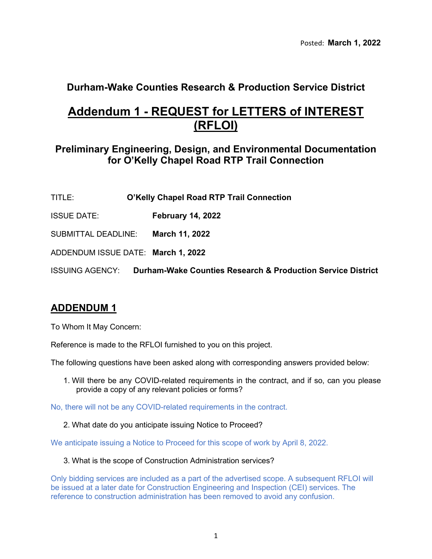## **Durham-Wake Counties Research & Production Service District**

# **Addendum 1 - REQUEST for LETTERS of INTEREST (RFLOI)**

### **Preliminary Engineering, Design, and Environmental Documentation for O'Kelly Chapel Road RTP Trail Connection**

- TITLE: **O'Kelly Chapel Road RTP Trail Connection**
- ISSUE DATE: **February 14, 2022**
- SUBMITTAL DEADLINE: **March 11, 2022**
- ADDENDUM ISSUE DATE: **March 1, 2022**

ISSUING AGENCY: **Durham-Wake Counties Research & Production Service District**

## **ADDENDUM 1**

To Whom It May Concern:

Reference is made to the RFLOI furnished to you on this project.

The following questions have been asked along with corresponding answers provided below:

1. Will there be any COVID-related requirements in the contract, and if so, can you please provide a copy of any relevant policies or forms?

No, there will not be any COVID-related requirements in the contract.

2. What date do you anticipate issuing Notice to Proceed?

We anticipate issuing a Notice to Proceed for this scope of work by April 8, 2022.

3. What is the scope of Construction Administration services?

Only bidding services are included as a part of the advertised scope. A subsequent RFLOI will be issued at a later date for Construction Engineering and Inspection (CEI) services. The reference to construction administration has been removed to avoid any confusion.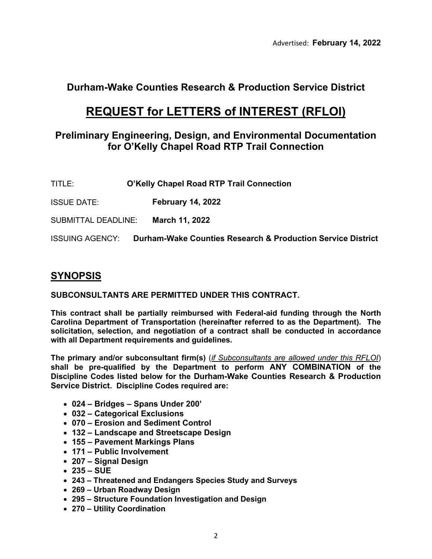## **Durham-Wake Counties Research & Production Service District**

# **REQUEST for LETTERS of INTEREST (RFLOI)**

### **Preliminary Engineering, Design, and Environmental Documentation for O'Kelly Chapel Road RTP Trail Connection**

- TITLE: **O'Kelly Chapel Road RTP Trail Connection**
- ISSUE DATE: **February 14, 2022**

SUBMITTAL DEADLINE: **March 11, 2022**

ISSUING AGENCY: **Durham-Wake Counties Research & Production Service District**

## **SYNOPSIS**

**SUBCONSULTANTS ARE PERMITTED UNDER THIS CONTRACT.**

**This contract shall be partially reimbursed with Federal-aid funding through the North Carolina Department of Transportation (hereinafter referred to as the Department). The solicitation, selection, and negotiation of a contract shall be conducted in accordance with all Department requirements and guidelines.**

**The primary and/or subconsultant firm(s)** (*if Subconsultants are allowed under this RFLOI*) **shall be pre-qualified by the Department to perform ANY COMBINATION of the Discipline Codes listed below for the Durham-Wake Counties Research & Production Service District. Discipline Codes required are:**

- **024 – Bridges – Spans Under 200'**
- **032 – Categorical Exclusions**
- **070 – Erosion and Sediment Control**
- **132 – Landscape and Streetscape Design**
- **155 – Pavement Markings Plans**
- **171 – Public Involvement**
- **207 – Signal Design**
- **235 – SUE**
- **243 – Threatened and Endangers Species Study and Surveys**
- **269 – Urban Roadway Design**
- **295 – Structure Foundation Investigation and Design**
- **270 – Utility Coordination**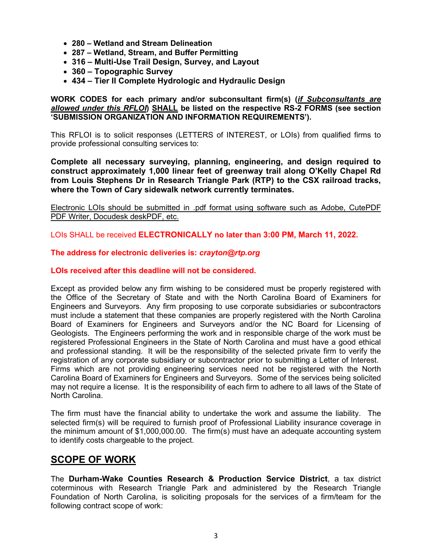- **280 – Wetland and Stream Delineation**
- **287 – Wetland, Stream, and Buffer Permitting**
- **316 – Multi-Use Trail Design, Survey, and Layout**
- **360 – Topographic Survey**
- **434 – Tier II Complete Hydrologic and Hydraulic Design**

**WORK CODES for each primary and/or subconsultant firm(s) (***if Subconsultants are allowed under this RFLOI***) SHALL be listed on the respective RS-2 FORMS (see section 'SUBMISSION ORGANIZATION AND INFORMATION REQUIREMENTS').**

This RFLOI is to solicit responses (LETTERS of INTEREST, or LOIs) from qualified firms to provide professional consulting services to:

**Complete all necessary surveying, planning, engineering, and design required to construct approximately 1,000 linear feet of greenway trail along O'Kelly Chapel Rd from Louis Stephens Dr in Research Triangle Park (RTP) to the CSX railroad tracks, where the Town of Cary sidewalk network currently terminates.**

Electronic LOIs should be submitted in .pdf format using software such as Adobe, CutePDF PDF Writer, Docudesk deskPDF, etc.

LOIs SHALL be received **ELECTRONICALLY no later than 3:00 PM, March 11, 2022.**

### **The address for electronic deliveries is:** *crayton@rtp.org*

#### **LOIs received after this deadline will not be considered.**

Except as provided below any firm wishing to be considered must be properly registered with the Office of the Secretary of State and with the North Carolina Board of Examiners for Engineers and Surveyors. Any firm proposing to use corporate subsidiaries or subcontractors must include a statement that these companies are properly registered with the North Carolina Board of Examiners for Engineers and Surveyors and/or the NC Board for Licensing of Geologists. The Engineers performing the work and in responsible charge of the work must be registered Professional Engineers in the State of North Carolina and must have a good ethical and professional standing. It will be the responsibility of the selected private firm to verify the registration of any corporate subsidiary or subcontractor prior to submitting a Letter of Interest. Firms which are not providing engineering services need not be registered with the North Carolina Board of Examiners for Engineers and Surveyors. Some of the services being solicited may not require a license. It is the responsibility of each firm to adhere to all laws of the State of North Carolina.

The firm must have the financial ability to undertake the work and assume the liability. The selected firm(s) will be required to furnish proof of Professional Liability insurance coverage in the minimum amount of \$1,000,000.00. The firm(s) must have an adequate accounting system to identify costs chargeable to the project.

### **SCOPE OF WORK**

The **Durham-Wake Counties Research & Production Service District**, a tax district coterminous with Research Triangle Park and administered by the Research Triangle Foundation of North Carolina, is soliciting proposals for the services of a firm/team for the following contract scope of work: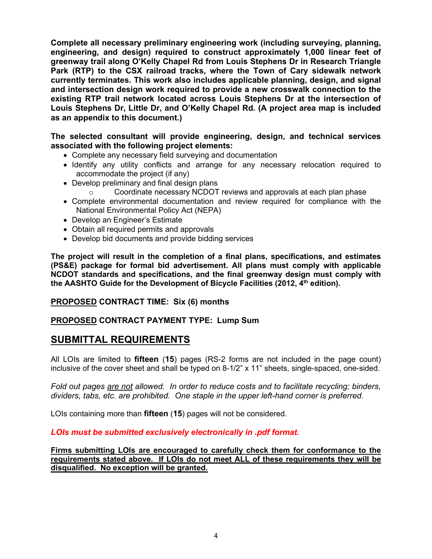**Complete all necessary preliminary engineering work (including surveying, planning, engineering, and design) required to construct approximately 1,000 linear feet of greenway trail along O'Kelly Chapel Rd from Louis Stephens Dr in Research Triangle Park (RTP) to the CSX railroad tracks, where the Town of Cary sidewalk network currently terminates. This work also includes applicable planning, design, and signal and intersection design work required to provide a new crosswalk connection to the existing RTP trail network located across Louis Stephens Dr at the intersection of Louis Stephens Dr, Little Dr, and O'Kelly Chapel Rd. (A project area map is included as an appendix to this document.)**

**The selected consultant will provide engineering, design, and technical services associated with the following project elements:**

- Complete any necessary field surveying and documentation
- Identify any utility conflicts and arrange for any necessary relocation required to accommodate the project (if any)
- Develop preliminary and final design plans
	- Coordinate necessary NCDOT reviews and approvals at each plan phase
- Complete environmental documentation and review required for compliance with the National Environmental Policy Act (NEPA)
- Develop an Engineer's Estimate
- Obtain all required permits and approvals
- Develop bid documents and provide bidding services

**The project will result in the completion of a final plans, specifications, and estimates (PS&E) package for formal bid advertisement. All plans must comply with applicable NCDOT standards and specifications, and the final greenway design must comply with**  the AASHTO Guide for the Development of Bicycle Facilities (2012, 4<sup>th</sup> edition).

### **PROPOSED CONTRACT TIME: Six (6) months**

### **PROPOSED CONTRACT PAYMENT TYPE: Lump Sum**

### **SUBMITTAL REQUIREMENTS**

All LOIs are limited to **fifteen** (**15**) pages (RS-2 forms are not included in the page count) inclusive of the cover sheet and shall be typed on 8-1/2" x 11" sheets, single-spaced, one-sided.

*Fold out pages are not allowed. In order to reduce costs and to facilitate recycling; binders, dividers, tabs, etc. are prohibited. One staple in the upper left-hand corner is preferred.*

LOIs containing more than **fifteen** (**15**) pages will not be considered.

### *LOIs must be submitted exclusively electronically in .pdf format.*

**Firms submitting LOIs are encouraged to carefully check them for conformance to the requirements stated above. If LOIs do not meet ALL of these requirements they will be disqualified. No exception will be granted.**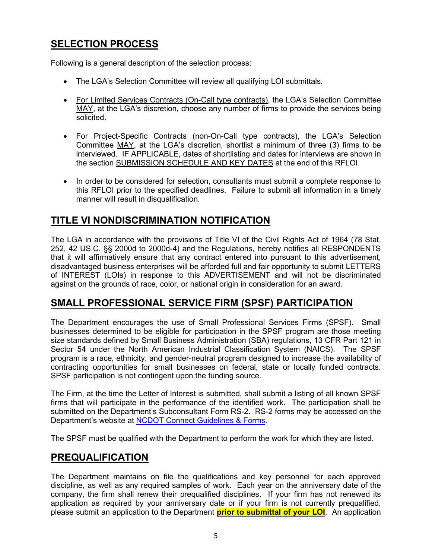## **SELECTION PROCESS**

Following is a general description of the selection process:

- The LGA's Selection Committee will review all qualifying LOI submittals.
- For Limited Services Contracts (On-Call type contracts), the LGA's Selection Committee MAY, at the LGA's discretion, choose any number of firms to provide the services being solicited.
- For Project-Specific Contracts (non-On-Call type contracts), the LGA's Selection Committee MAY, at the LGA's discretion, shortlist a minimum of three (3) firms to be interviewed. IF APPLICABLE, dates of shortlisting and dates for interviews are shown in the section SUBMISSION SCHEDULE AND KEY DATES at the end of this RFLOI.
- In order to be considered for selection, consultants must submit a complete response to this RFLOI prior to the specified deadlines. Failure to submit all information in a timely manner will result in disqualification.

## **TITLE VI NONDISCRIMINATION NOTIFICATION**

The LGA in accordance with the provisions of Title VI of the Civil Rights Act of 1964 (78 Stat. 252, 42 US.C. §§ 2000d to 2000d-4) and the Regulations, hereby notifies all RESPONDENTS that it will affirmatively ensure that any contract entered into pursuant to this advertisement, disadvantaged business enterprises will be afforded full and fair opportunity to submit LETTERS of INTEREST (LOIs) in response to this ADVERTISEMENT and will not be discriminated against on the grounds of race, color, or national origin in consideration for an award.

## **SMALL PROFESSIONAL SERVICE FIRM (SPSF) PARTICIPATION**

The Department encourages the use of Small Professional Services Firms (SPSF). Small businesses determined to be eligible for participation in the SPSF program are those meeting size standards defined by Small Business Administration (SBA) regulations, 13 CFR Part 121 in Sector 54 under the North American Industrial Classification System (NAICS). The SPSF program is a race, ethnicity, and gender-neutral program designed to increase the availability of contracting opportunities for small businesses on federal, state or locally funded contracts. SPSF participation is not contingent upon the funding source.

The Firm, at the time the Letter of Interest is submitted, shall submit a listing of all known SPSF firms that will participate in the performance of the identified work. The participation shall be submitted on the Department's Subconsultant Form RS-2. RS-2 forms may be accessed on the Department's website at [NCDOT Connect Guidelines & Forms.](https://connect.ncdot.gov/business/consultants/Pages/Guidelines-Forms.aspx)

The SPSF must be qualified with the Department to perform the work for which they are listed.

## **PREQUALIFICATION**

The Department maintains on file the qualifications and key personnel for each approved discipline, as well as any required samples of work. Each year on the anniversary date of the company, the firm shall renew their prequalified disciplines. If your firm has not renewed its application as required by your anniversary date or if your firm is not currently prequalified, please submit an application to the Department **prior to submittal of your LOI**. An application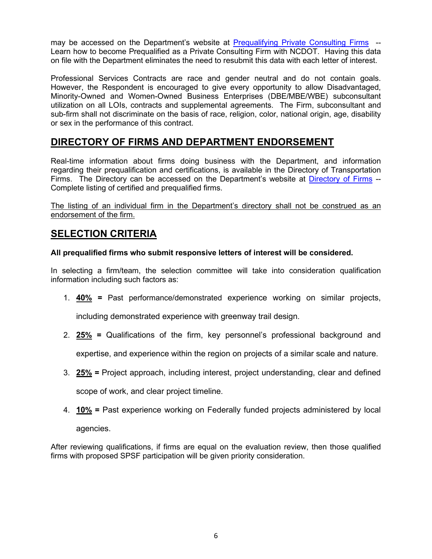may be accessed on the Department's website at [Prequalifying Private Consulting Firms](https://connect.ncdot.gov/business/Prequal/Pages/Private-Consulting-Firm.aspx) -- Learn how to become Prequalified as a Private Consulting Firm with NCDOT. Having this data on file with the Department eliminates the need to resubmit this data with each letter of interest.

Professional Services Contracts are race and gender neutral and do not contain goals. However, the Respondent is encouraged to give every opportunity to allow Disadvantaged, Minority-Owned and Women-Owned Business Enterprises (DBE/MBE/WBE) subconsultant utilization on all LOIs, contracts and supplemental agreements. The Firm, subconsultant and sub-firm shall not discriminate on the basis of race, religion, color, national origin, age, disability or sex in the performance of this contract.

## **DIRECTORY OF FIRMS AND DEPARTMENT ENDORSEMENT**

Real-time information about firms doing business with the Department, and information regarding their prequalification and certifications, is available in the Directory of Transportation Firms. The Directory can be accessed on the Department's website at [Directory of Firms](https://www.ebs.nc.gov/VendorDirectory/default.html) --Complete listing of certified and prequalified firms.

The listing of an individual firm in the Department's directory shall not be construed as an endorsement of the firm.

## **SELECTION CRITERIA**

### **All prequalified firms who submit responsive letters of interest will be considered.**

In selecting a firm/team, the selection committee will take into consideration qualification information including such factors as:

1. **40% =** Past performance/demonstrated experience working on similar projects,

including demonstrated experience with greenway trail design.

2. **25% =** Qualifications of the firm, key personnel's professional background and

expertise, and experience within the region on projects of a similar scale and nature.

- 3. **25% =** Project approach, including interest, project understanding, clear and defined scope of work, and clear project timeline.
- 4. **10% =** Past experience working on Federally funded projects administered by local agencies.

After reviewing qualifications, if firms are equal on the evaluation review, then those qualified firms with proposed SPSF participation will be given priority consideration.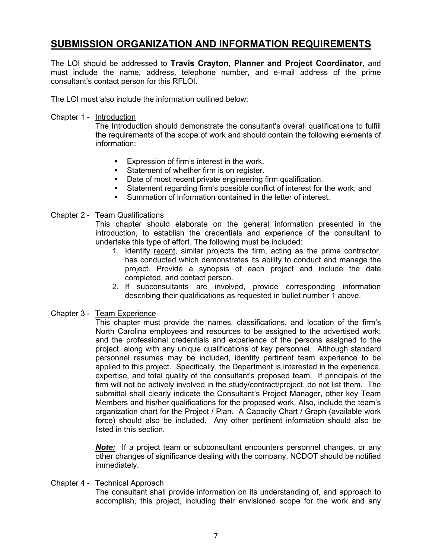## **SUBMISSION ORGANIZATION AND INFORMATION REQUIREMENTS**

The LOI should be addressed to **Travis Crayton, Planner and Project Coordinator**, and must include the name, address, telephone number, and e-mail address of the prime consultant's contact person for this RFLOI.

The LOI must also include the information outlined below:

Chapter 1 - Introduction

The Introduction should demonstrate the consultant's overall qualifications to fulfill the requirements of the scope of work and should contain the following elements of information:

- **Expression of firm's interest in the work.**
- **Statement of whether firm is on register.**
- Date of most recent private engineering firm qualification.
- Statement regarding firm's possible conflict of interest for the work; and
- Summation of information contained in the letter of interest.

#### Chapter 2 - Team Qualifications

This chapter should elaborate on the general information presented in the introduction, to establish the credentials and experience of the consultant to undertake this type of effort. The following must be included:

- 1. Identify recent, similar projects the firm, acting as the prime contractor, has conducted which demonstrates its ability to conduct and manage the project. Provide a synopsis of each project and include the date completed, and contact person.
- 2. If subconsultants are involved, provide corresponding information describing their qualifications as requested in bullet number 1 above.

### Chapter 3 - Team Experience

This chapter must provide the names, classifications, and location of the firm's North Carolina employees and resources to be assigned to the advertised work; and the professional credentials and experience of the persons assigned to the project, along with any unique qualifications of key personnel. Although standard personnel resumes may be included, identify pertinent team experience to be applied to this project. Specifically, the Department is interested in the experience, expertise, and total quality of the consultant's proposed team. If principals of the firm will not be actively involved in the study/contract/project, do not list them. The submittal shall clearly indicate the Consultant's Project Manager, other key Team Members and his/her qualifications for the proposed work. Also, include the team's organization chart for the Project / Plan. A Capacity Chart / Graph (available work force) should also be included. Any other pertinent information should also be listed in this section.

*Note:* If a project team or subconsultant encounters personnel changes, or any other changes of significance dealing with the company, NCDOT should be notified immediately.

#### Chapter 4 - Technical Approach

The consultant shall provide information on its understanding of, and approach to accomplish, this project, including their envisioned scope for the work and any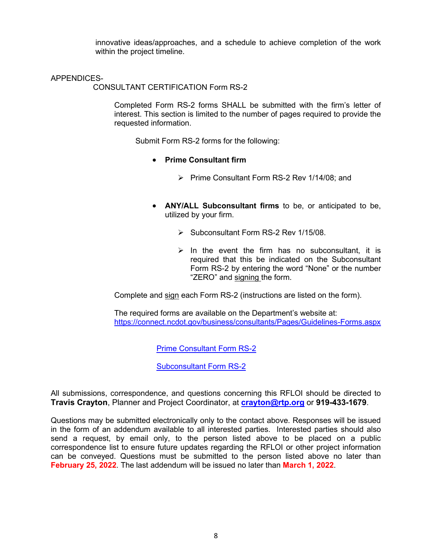innovative ideas/approaches, and a schedule to achieve completion of the work within the project timeline.

#### APPENDICES-

CONSULTANT CERTIFICATION Form RS-2

Completed Form RS-2 forms SHALL be submitted with the firm's letter of interest. This section is limited to the number of pages required to provide the requested information.

Submit Form RS-2 forms for the following:

- **Prime Consultant firm**
	- Prime Consultant Form RS-2 Rev 1/14/08; and
- **ANY/ALL Subconsultant firms** to be, or anticipated to be, utilized by your firm.
	- $\triangleright$  Subconsultant Form RS-2 Rev 1/15/08.
	- $\triangleright$  In the event the firm has no subconsultant, it is required that this be indicated on the Subconsultant Form RS-2 by entering the word "None" or the number "ZERO" and signing the form.

Complete and sign each Form RS-2 (instructions are listed on the form).

The required forms are available on the Department's website at: <https://connect.ncdot.gov/business/consultants/Pages/Guidelines-Forms.aspx>

[Prime Consultant Form RS-2](https://connect.ncdot.gov/business/consultants/Roadway/Form%20RS-2%20Prime%20Contractor%20(Task%20Orders%20ONLY).pdf)

[Subconsultant Form RS-2](https://connect.ncdot.gov/business/consultants/Roadway/Form%20RS-2%20Subcontract%20(Task%20Orders%20ONLY).pdf)

All submissions, correspondence, and questions concerning this RFLOI should be directed to **Travis Crayton**, Planner and Project Coordinator, at **[crayton@rtp.org](mailto:crayton@rtp.org)** or **919-433-1679**.

Questions may be submitted electronically only to the contact above. Responses will be issued in the form of an addendum available to all interested parties. Interested parties should also send a request, by email only, to the person listed above to be placed on a public correspondence list to ensure future updates regarding the RFLOI or other project information can be conveyed. Questions must be submitted to the person listed above no later than **February 25, 2022**. The last addendum will be issued no later than **March 1, 2022**.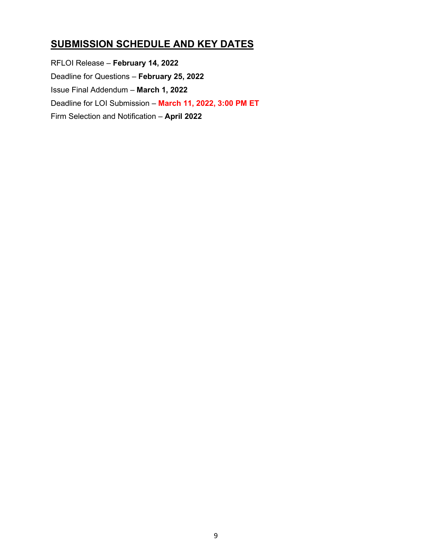## **SUBMISSION SCHEDULE AND KEY DATES**

RFLOI Release – **February 14, 2022** Deadline for Questions – **February 25, 2022** Issue Final Addendum – **March 1, 2022** Deadline for LOI Submission – **March 11, 2022, 3:00 PM ET** Firm Selection and Notification – **April 2022**